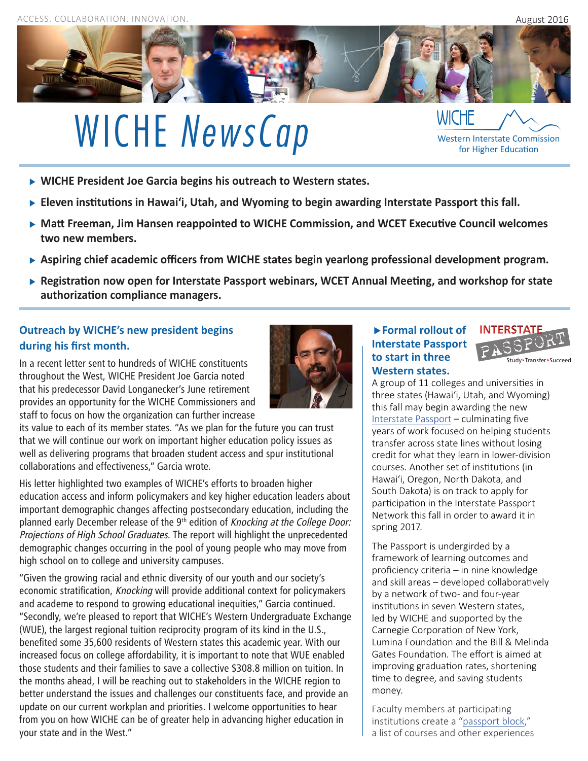

# WICHE *NewsCap* WICHE Messen Interstate Commission

**WICHE President Joe Garcia begins his outreach to Western states.**

- **Eleven institutions in Hawai'i, Utah, and Wyoming to begin awarding Interstate Passport this fall.**
- **Matt Freeman, Jim Hansen reappointed to WICHE Commission, and WCET Executive Council welcomes two new members.**
- **Aspiring chief academic officers from WICHE states begin yearlong professional development program.**
- **Registration now open for Interstate Passport webinars, WCET Annual Meeting, and workshop for state authorization compliance managers.**

# **Outreach by WICHE's new president begins during his first month.**

In a recent letter sent to hundreds of WICHE constituents throughout the West, WICHE President Joe Garcia noted that his predecessor David Longanecker's June retirement provides an opportunity for the WICHE Commissioners and staff to focus on how the organization can further increase



its value to each of its member states. "As we plan for the future you can trust that we will continue our work on important higher education policy issues as well as delivering programs that broaden student access and spur institutional collaborations and effectiveness," Garcia wrote.

His letter highlighted two examples of WICHE's efforts to broaden higher education access and inform policymakers and key higher education leaders about important demographic changes affecting postsecondary education, including the planned early December release of the 9<sup>th</sup> edition of Knocking at the College Door: Projections of High School Graduates. The report will highlight the unprecedented demographic changes occurring in the pool of young people who may move from high school on to college and university campuses.

"Given the growing racial and ethnic diversity of our youth and our society's economic stratification, Knocking will provide additional context for policymakers and academe to respond to growing educational inequities," Garcia continued. "Secondly, we're pleased to report that WICHE's Western Undergraduate Exchange (WUE), the largest regional tuition reciprocity program of its kind in the U.S., benefited some 35,600 residents of Western states this academic year. With our increased focus on college affordability, it is important to note that WUE enabled those students and their families to save a collective \$308.8 million on tuition. In the months ahead, I will be reaching out to stakeholders in the WICHE region to better understand the issues and challenges our constituents face, and provide an update on our current workplan and priorities. I welcome opportunities to hear from you on how WICHE can be of greater help in advancing higher education in your state and in the West."

### **Formal rollout of Interstate Passport to start in three Western states.**



for Higher Education

A group of 11 colleges and universities in three states (Hawai'i, Utah, and Wyoming) this fall may begin awarding the new [Interstate Passport](http://www.wiche.edu/passport/home) – culminating five years of work focused on helping students transfer across state lines without losing credit for what they learn in lower-division courses. Another set of institutions (in Hawai'i, Oregon, North Dakota, and South Dakota) is on track to apply for participation in the Interstate Passport Network this fall in order to award it in spring 2017.

The Passport is undergirded by a framework of learning outcomes and proficiency criteria – in nine knowledge and skill areas – developed collaboratively by a network of two- and four-year institutions in seven Western states, led by WICHE and supported by the Carnegie Corporation of New York, Lumina Foundation and the Bill & Melinda Gates Foundation. The effort is aimed at improving graduation rates, shortening time to degree, and saving students money.

Faculty members at participating institutions create a "[passport block](http://www.wiche.edu/files/info/Faculty%20Handbook-CYIPB%20(Final)%20Feb%203%202016.pdf)," a list of courses and other experiences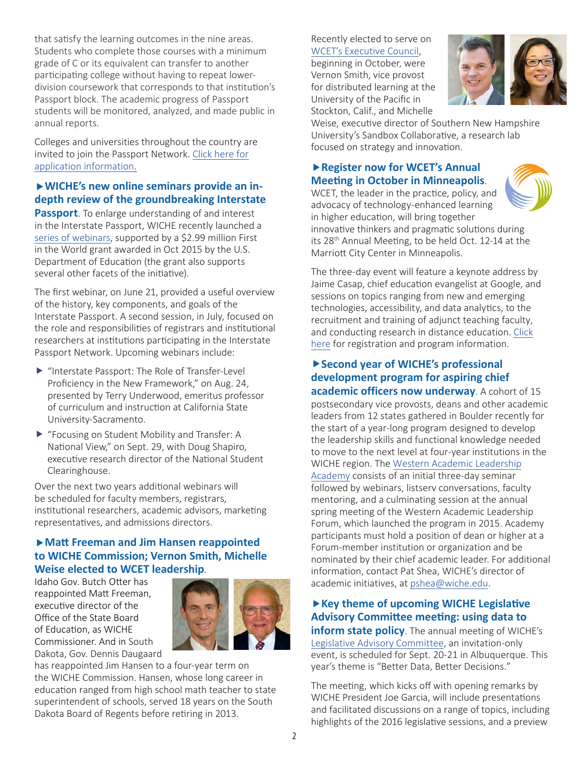that satisfy the learning outcomes in the nine areas. Students who complete those courses with a minimum grade of C or its equivalent can transfer to another participating college without having to repeat lowerdivision coursework that corresponds to that institution's Passport block. The academic progress of Passport students will be monitored, analyzed, and made public in annual reports.

Colleges and universities throughout the country are [invited to join the Passport Network. Click here for](http://www.wiche.edu/passport/membership) application information.

## **WICHE's new online seminars provide an indepth review of the groundbreaking Interstate**

**Passport**. To enlarge understanding of and interest in the Interstate Passport, WICHE recently launched a [series of webinars,](http://www.wiche.edu/passport/webinars) supported by a \$2.99 million First in the World grant awarded in Oct 2015 by the U.S. Department of Education (the grant also supports several other facets of the initiative).

The first webinar, on June 21, provided a useful overview of the history, key components, and goals of the Interstate Passport. A second session, in July, focused on the role and responsibilities of registrars and institutional researchers at institutions participating in the Interstate Passport Network. Upcoming webinars include:

- Interstate Passport: The Role of Transfer-Level Proficiency in the New Framework," on Aug. 24, presented by Terry Underwood, emeritus professor of curriculum and instruction at California State University-Sacramento.
- ▶ "Focusing on Student Mobility and Transfer: A National View," on Sept. 29, with Doug Shapiro, executive research director of the National Student Clearinghouse.

Over the next two years additional webinars will be scheduled for faculty members, registrars, institutional researchers, academic advisors, marketing representatives, and admissions directors.

### **Matt Freeman and Jim Hansen reappointed to WICHE Commission; Vernon Smith, Michelle Weise elected to WCET leadership**.

Idaho Gov. Butch Otter has reappointed Matt Freeman, executive director of the Office of the State Board of Education, as WICHE Commissioner. And in South Dakota, Gov. Dennis Daugaard



has reappointed Jim Hansen to a four-year term on the WICHE Commission. Hansen, whose long career in education ranged from high school math teacher to state superintendent of schools, served 18 years on the South Dakota Board of Regents before retiring in 2013.

#### Recently elected to serve on [WCET's Executive Council](http://wcet.wiche.edu/about/leadership/Executive-Council-Election-2016),

beginning in October, were Vernon Smith, vice provost for distributed learning at the University of the Pacific in Stockton, Calif., and Michelle



Weise, executive director of Southern New Hampshire University's Sandbox Collaborative, a research lab focused on strategy and innovation.

## **Register now for WCET's Annual Meeting in October in Minneapolis**.

WCET, the leader in the practice, policy, and advocacy of technology-enhanced learning in higher education, will bring together innovative thinkers and pragmatic solutions during its 28th Annual Meeting, to be held Oct. 12-14 at the Marriott City Center in Minneapolis.



The three-day event will feature a keynote address by Jaime Casap, chief education evangelist at Google, and sessions on topics ranging from new and emerging technologies, accessibility, and data analytics, to the recruitment and training of adjunct teaching faculty, and [conducting research in distance education.](https://www.eiseverywhere.com/ehome/index.php?eventid=161705&) Click here for registration and program information.

# **Second year of WICHE's professional development program for aspiring chief**

**academic officers now underway**. A cohort of 15 postsecondary vice provosts, deans and other academic leaders from 12 states gathered in Boulder recently for the start of a year-long program designed to develop the leadership skills and functional knowledge needed to move to the next level at four-year institutions in the WICHE region. The Western Academic Leadership Academy [consists of an initial three-day seminar](http://www.wiche.edu/forum/academy) followed by webinars, listserv conversations, faculty mentoring, and a culminating session at the annual spring meeting of the Western Academic Leadership Forum, which launched the program in 2015. Academy participants must hold a position of dean or higher at a Forum-member institution or organization and be nominated by their chief academic leader. For additional information, contact Pat Shea, WICHE's director of academic initiatives, at [pshea@wiche.edu](mailto:pshea@wiche.edu).

# **Key theme of upcoming WICHE Legislative Advisory Committee meeting: using data to**

**inform state policy**. The annual meeting of WICHE's [Legislative Advisory Committee](http://www.wiche.edu/lac), an invitation-only event, is scheduled for Sept. 20-21 in Albuquerque. This year's theme is "Better Data, Better Decisions."

The meeting, which kicks off with opening remarks by WICHE President Joe Garcia, will include presentations and facilitated discussions on a range of topics, including highlights of the 2016 legislative sessions, and a preview